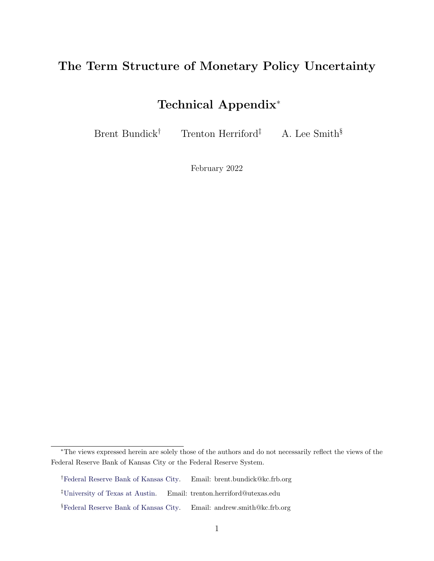## <span id="page-0-0"></span>The Term Structure of Monetary Policy Uncertainty

## Technical Appendix<sup>∗</sup>

Brent Bundick<sup>†</sup> Trenton Herriford<sup>‡</sup> A. Lee Smith<sup>§</sup>

February 2022

<sup>∗</sup>The views expressed herein are solely those of the authors and do not necessarily reflect the views of the Federal Reserve Bank of Kansas City or the Federal Reserve System.

<sup>†</sup>[Federal Reserve Bank of Kansas City.](https://www.kansascityfed.org/people/brentbundick) Email: brent.bundick@kc.frb.org

<sup>‡</sup>[University of Texas at Austin.](https://sites.google.com/view/trentonherriford) Email: trenton.herriford@utexas.edu

 $$Federal$  Reserve Bank of Kansas City. Email: andrew.smith@kc.frb.org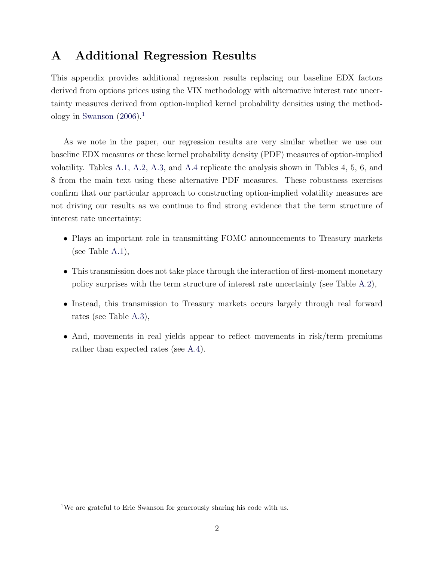## A Additional Regression Results

This appendix provides additional regression results replacing our baseline EDX factors derived from options prices using the VIX methodology with alternative interest rate uncertainty measures derived from option-implied kernel probability densities using the method-ology in [Swanson](#page-2-0)  $(2006).<sup>1</sup>$  $(2006).<sup>1</sup>$  $(2006).<sup>1</sup>$  $(2006).<sup>1</sup>$ 

As we note in the paper, our regression results are very similar whether we use our baseline EDX measures or these kernel probability density (PDF) measures of option-implied volatility. Tables [A.1,](#page-3-0) [A.2,](#page-4-0) [A.3,](#page-5-0) and [A.4](#page-6-0) replicate the analysis shown in Tables 4, 5, 6, and 8 from the main text using these alternative PDF measures. These robustness exercises confirm that our particular approach to constructing option-implied volatility measures are not driving our results as we continue to find strong evidence that the term structure of interest rate uncertainty:

- Plays an important role in transmitting FOMC announcements to Treasury markets (see Table [A.1\)](#page-3-0),
- This transmission does not take place through the interaction of first-moment monetary policy surprises with the term structure of interest rate uncertainty (see Table [A.2\)](#page-4-0),
- Instead, this transmission to Treasury markets occurs largely through real forward rates (see Table [A.3\)](#page-5-0),
- And, movements in real yields appear to reflect movements in risk/term premiums rather than expected rates (see [A.4\)](#page-6-0).

<sup>1</sup>We are grateful to Eric Swanson for generously sharing his code with us.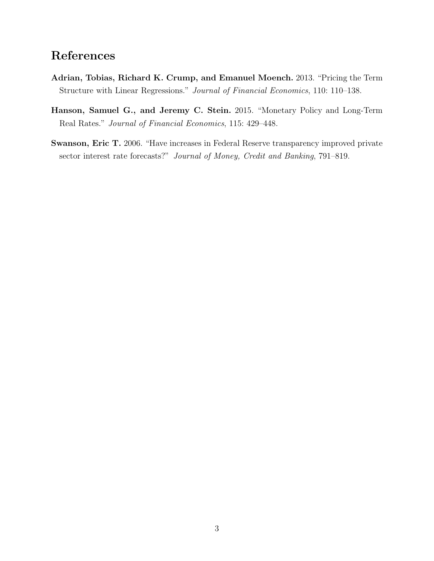## <span id="page-2-1"></span>References

- <span id="page-2-2"></span>Adrian, Tobias, Richard K. Crump, and Emanuel Moench. 2013. "Pricing the Term Structure with Linear Regressions." Journal of Financial Economics, 110: 110–138.
- Hanson, Samuel G., and Jeremy C. Stein. 2015. "Monetary Policy and Long-Term Real Rates." Journal of Financial Economics, 115: 429–448.
- <span id="page-2-0"></span>Swanson, Eric T. 2006. "Have increases in Federal Reserve transparency improved private sector interest rate forecasts?" Journal of Money, Credit and Banking, 791–819.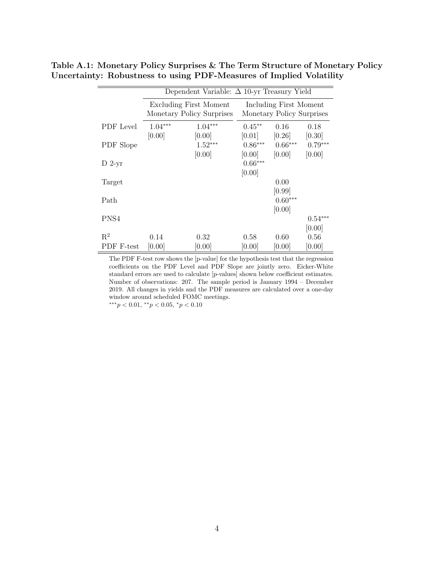<span id="page-3-0"></span>

|            | Dependent Variable: $\Delta$ 10-yr Treasury Yield |                           |                                                     |           |           |  |  |  |  |
|------------|---------------------------------------------------|---------------------------|-----------------------------------------------------|-----------|-----------|--|--|--|--|
|            |                                                   | Excluding First Moment    | Including First Moment<br>Monetary Policy Surprises |           |           |  |  |  |  |
|            |                                                   | Monetary Policy Surprises |                                                     |           |           |  |  |  |  |
| PDF Level  | $1.04***$                                         | $1.04***$                 | $0.45**$                                            | 0.16      | 0.18      |  |  |  |  |
|            | [0.00]                                            | [0.00]                    | [0.01]                                              | [0.26]    | [0.30]    |  |  |  |  |
| PDF Slope  |                                                   | $1.52***$                 | $0.86^{\ast\ast\ast}$                               | $0.66***$ | $0.79***$ |  |  |  |  |
|            |                                                   | [0.00]                    | [0.00]                                              | [0.00]    | [0.00]    |  |  |  |  |
| $D$ 2-yr   |                                                   |                           | $0.66***$                                           |           |           |  |  |  |  |
|            |                                                   |                           | [0.00]                                              |           |           |  |  |  |  |
| Target     |                                                   |                           |                                                     | 0.00      |           |  |  |  |  |
|            |                                                   |                           |                                                     | [0.99]    |           |  |  |  |  |
| Path       |                                                   |                           |                                                     | $0.60***$ |           |  |  |  |  |
|            |                                                   |                           |                                                     | [0.00]    |           |  |  |  |  |
| PNS4       |                                                   |                           |                                                     |           | $0.54***$ |  |  |  |  |
|            |                                                   |                           |                                                     |           | [0.00]    |  |  |  |  |
| $R^2$      | 0.14                                              | 0.32                      | 0.58                                                | 0.60      | 0.56      |  |  |  |  |
| PDF F-test | [0.00]                                            | [0.00]                    | [0.00]                                              | [0.00]    | [0.00]    |  |  |  |  |

Table A.1: Monetary Policy Surprises & The Term Structure of Monetary Policy Uncertainty: Robustness to using PDF-Measures of Implied Volatility

The PDF F-test row shows the [p-value] for the hypothesis test that the regression coefficients on the PDF Level and PDF Slope are jointly zero. Eicker-White standard errors are used to calculate [p-values] shown below coefficient estimates. Number of observations: 207. The sample period is January 1994 – December 2019. All changes in yields and the PDF measures are calculated over a one-day window around scheduled FOMC meetings.

∗∗∗p < 0.01, ∗∗p < 0.05, <sup>∗</sup>p < 0.10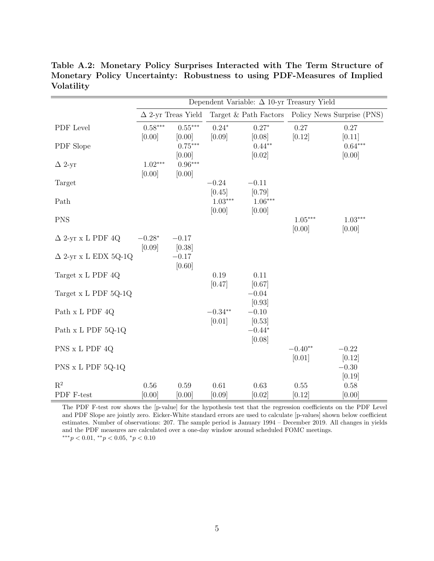|                             | Dependent Variable: $\Delta$ 10-yr Treasury Yield |                           |                     |                     |                                                  |                     |  |  |
|-----------------------------|---------------------------------------------------|---------------------------|---------------------|---------------------|--------------------------------------------------|---------------------|--|--|
|                             |                                                   | $\Delta$ 2-yr Treas Yield |                     |                     | Target & Path Factors Policy News Surprise (PNS) |                     |  |  |
| PDF Level                   | $0.58***$                                         | $0.55***$                 | $0.24*$             | $0.27*$             | 0.27                                             | 0.27                |  |  |
| PDF Slope                   | [0.00]                                            | [0.00]<br>$0.75***$       | [0.09]              | [0.08]<br>$0.44**$  | [0.12]                                           | [0.11]<br>$0.64***$ |  |  |
|                             |                                                   | [0.00]                    |                     | [0.02]              |                                                  | [0.00]              |  |  |
| $\Delta$ 2-yr               | $1.02***$<br>[0.00]                               | $0.96***$<br>[0.00]       |                     |                     |                                                  |                     |  |  |
| Target                      |                                                   |                           | $-0.24$             | $-0.11$             |                                                  |                     |  |  |
|                             |                                                   |                           | [0.45]              | [0.79]              |                                                  |                     |  |  |
| Path                        |                                                   |                           | $1.03***$<br>[0.00] | $1.06***$<br>[0.00] |                                                  |                     |  |  |
| <b>PNS</b>                  |                                                   |                           |                     |                     | $1.05***$                                        | $1.03***$           |  |  |
| $\Delta$ 2-yr x L PDF 4Q    | $-0.28*$                                          | $-0.17$                   |                     |                     | [0.00]                                           | [0.00]              |  |  |
|                             | [0.09]                                            | [0.38]                    |                     |                     |                                                  |                     |  |  |
| $\Delta$ 2-yr x L EDX 5Q-1Q |                                                   | $-0.17$                   |                     |                     |                                                  |                     |  |  |
| Target x L PDF 4Q           |                                                   | [0.60]                    | 0.19                | 0.11                |                                                  |                     |  |  |
|                             |                                                   |                           | [0.47]              | [0.67]              |                                                  |                     |  |  |
| Target x L PDF 5Q-1Q        |                                                   |                           |                     | $-0.04$             |                                                  |                     |  |  |
| Path x L PDF 4Q             |                                                   |                           | $-0.34**$           | [0.93]<br>$-0.10$   |                                                  |                     |  |  |
|                             |                                                   |                           | [0.01]              | [0.53]              |                                                  |                     |  |  |
| Path x L PDF 5Q-1Q          |                                                   |                           |                     | $-0.44*$<br>[0.08]  |                                                  |                     |  |  |
| PNS x L PDF 4Q              |                                                   |                           |                     |                     | $-0.40**$                                        | $-0.22$             |  |  |
|                             |                                                   |                           |                     |                     | [0.01]                                           | [0.12]              |  |  |
| PNS x L PDF 5Q-1Q           |                                                   |                           |                     |                     |                                                  | $-0.30$<br>[0.19]   |  |  |
| $R^2$                       | 0.56                                              | 0.59                      | 0.61                | 0.63                | $0.55\,$                                         | 0.58                |  |  |
| ${\rm PDF}$ F-test          | [0.00]                                            | [0.00]                    | [0.09]              | [0.02]              | [0.12]                                           | [0.00]              |  |  |

<span id="page-4-0"></span>Table A.2: Monetary Policy Surprises Interacted with The Term Structure of Monetary Policy Uncertainty: Robustness to using PDF-Measures of Implied Volatility

The PDF F-test row shows the [p-value] for the hypothesis test that the regression coefficients on the PDF Level and PDF Slope are jointly zero. Eicker-White standard errors are used to calculate [p-values] shown below coefficient estimates. Number of observations: 207. The sample period is January 1994 – December 2019. All changes in yields and the PDF measures are calculated over a one-day window around scheduled FOMC meetings.  $***p<0.01, **p<0.05, *p<0.10$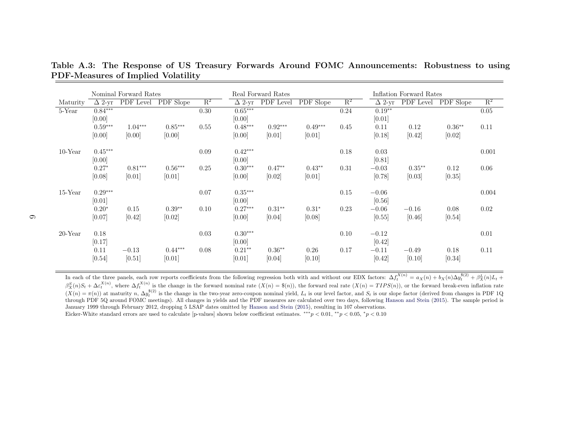|            | Nominal Forward Rates |           |           |                |               | Real Forward Rates |           |                | Inflation Forward Rates |           |           |                |
|------------|-----------------------|-----------|-----------|----------------|---------------|--------------------|-----------|----------------|-------------------------|-----------|-----------|----------------|
| Maturity   | $\Delta$ 2-vr         | PDF Level | PDF Slope | $\mathbf{R}^2$ | $\Delta$ 2-yr | PDF Level          | PDF Slope | $\mathbb{R}^2$ | $\Delta$ 2-yr           | PDF Level | PDF Slope | $\mathbb{R}^2$ |
| 5-Year     | $0.84***$             |           |           | 0.30           | $0.65***$     |                    |           | 0.24           | $0.19**$                |           |           | 0.05           |
|            | [0.00]                |           |           |                | [0.00]        |                    |           |                | [0.01]                  |           |           |                |
|            | $0.59***$             | $1.04***$ | $0.85***$ | 0.55           | $0.48***$     | $0.92***$          | $0.49***$ | 0.45           | 0.11                    | 0.12      | $0.36**$  | 0.11           |
|            | [0.00]                | [0.00]    | [0.00]    |                | [0.00]        | [0.01]             | [0.01]    |                | [0.18]                  | [0.42]    | [0.02]    |                |
| $10$ -Year | $0.45***$             |           |           | 0.09           | $0.42***$     |                    |           | 0.18           | 0.03                    |           |           | 0.001          |
|            | [0.00]                |           |           |                | [0.00]        |                    |           |                | [0.81]                  |           |           |                |
|            | $0.27*$               | $0.81***$ | $0.56***$ | 0.25           | $0.30***$     | $0.47**$           | $0.43**$  | 0.31           | $-0.03$                 | $0.35**$  | 0.12      | 0.06           |
|            | [0.08]                | [0.01]    | [0.01]    |                | [0.00]        | [0.02]             | [0.01]    |                | [0.78]                  | [0.03]    | [0.35]    |                |
| $15$ -Year | $0.29***$             |           |           | 0.07           | $0.35***$     |                    |           | 0.15           | $-0.06$                 |           |           | 0.004          |
|            | [0.01]                |           |           |                | [0.00]        |                    |           |                | [0.56]                  |           |           |                |
|            | $0.20*$               | 0.15      | $0.39**$  | 0.10           | $0.27***$     | $0.31**$           | $0.31*$   | 0.23           | $-0.06$                 | $-0.16$   | 0.08      | 0.02           |
|            | [0.07]                | $[0.42]$  | [0.02]    |                | [0.00]        | [0.04]             | [0.08]    |                | [0.55]                  | [0.46]    | [0.54]    |                |
| $20$ -Year | 0.18                  |           |           | 0.03           | $0.30***$     |                    |           | 0.10           | $-0.12$                 |           |           | $0.01\,$       |
|            | [0.17]                |           |           |                | [0.00]        |                    |           |                | [0.42]                  |           |           |                |
|            | 0.11                  | $-0.13$   | $0.44***$ | 0.08           | $0.21**$      | $0.36**$           | 0.26      | 0.17           | $-0.11$                 | $-0.49$   | 0.18      | 0.11           |
|            | [0.54]                | [0.51]    | [0.01]    |                | [0.01]        | [0.04]             | [0.10]    |                | [0.42]                  | [0.10]    | [0.34]    |                |

<span id="page-5-0"></span>Table A.3: The Response of US Treasury Forwards Around FOMC Announcements: Robustness to usingPDF-Measures of Implied Volatility

In each of the three panels, each row reports coefficients from the following regression both with and without our EDX factors:  $\Delta f$ In each of the three panels, each row reports coefficients from the following regression both with and without our EDX factors:  $\Delta f_t^{X(n)} = a_X(n) + b_X(n)\Delta y_t^{s(2)} + \beta_X^{Y}(n)L_t +$ <br> $\beta_X^S(n)S_t + \Delta \varepsilon_t^{X(n)}$ , where  $\Delta f_t^{X(n)}$  is the chan  $\frac{S}{X}(n)S_t + \Delta \varepsilon$  $\beta_X^S(n)S_t + \Delta \varepsilon_t^{X(n)}$ , where  $\Delta f_t^{X(n)}$  is the change in the forward nominal rate  $(X(n) = \mathcal{S}(n))$ , the forward real rate  $(X(n) = TIPS(n))$ , or the forward break-even inflation rate  $(X(n) = \pi(n))$  at maturity  $n$ ,  $\Delta y_t^{\mathcal{S}(2)}$  is through PDF 5Q around FOMC meetings). All changes in yields and the PDF measures are calculated over two days, following [Hanson](#page-2-1) and Stein [\(2015\)](#page-2-1). The sample period is January 1999 through February 2012, dropping 5 LSAP dates omitted by [Hanson](#page-2-1) and Stein [\(2015\)](#page-2-1), resulting in <sup>107</sup> observations. Eicker-White standard errors are used to calculate [p-values] shown below coefficient estimates.  $***p < 0.01, **p < 0.05, *p < 0.10$